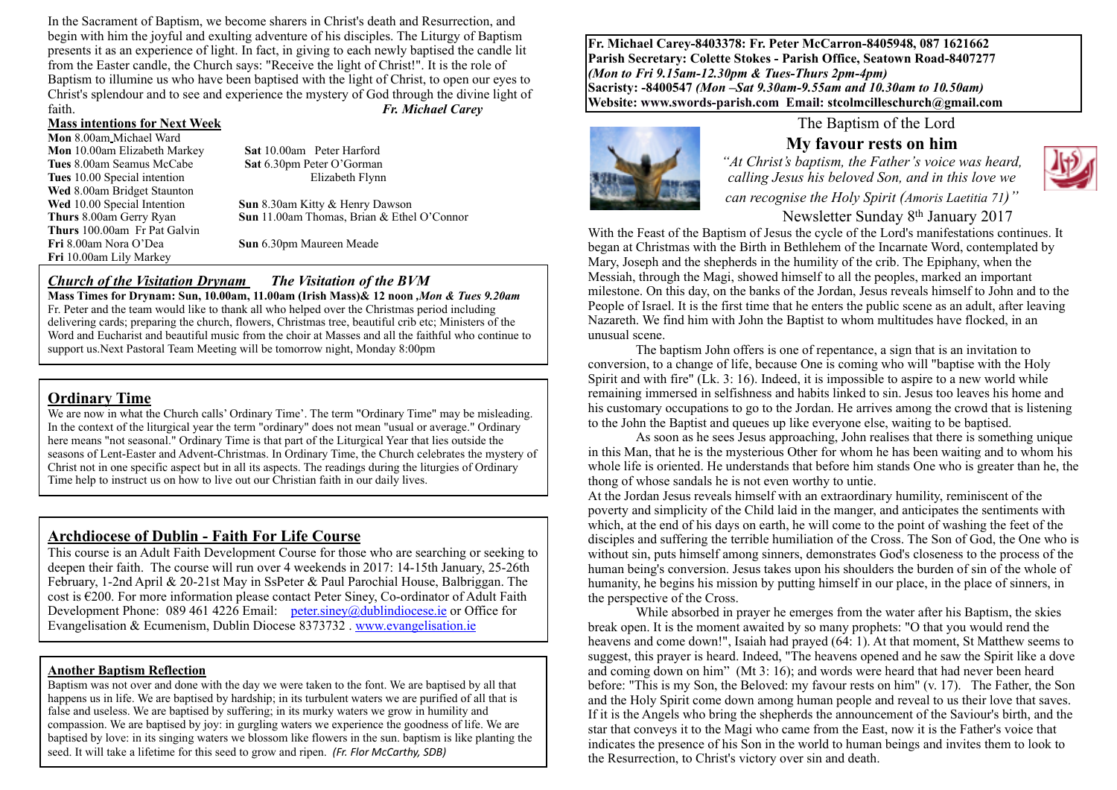In the Sacrament of Baptism, we become sharers in Christ's death and Resurrection, and begin with him the joyful and exulting adventure of his disciples. The Liturgy of Baptism presents it as an experience of light. In fact, in giving to each newly baptised the candle lit from the Easter candle, the Church says: "Receive the light of Christ!". It is the role of Baptism to illumine us who have been baptised with the light of Christ, to open our eyes to Christ's splendour and to see and experience the mystery of God through the divine light of faith. *Fr. Michael Carey*

#### **Mass intentions for Next Week**

**Mon** 8.00am Michael Ward **Mon** 10.00am Elizabeth Markey **Sat** 10.00am Peter Harford **Tues** 8.00am Seamus McCabe **Sat** 6.30pm Peter O'Gorman **Tues** 10.00 Special intention Elizabeth Flynn Wed 8.00am Bridget Staunton<br>Wed 10.00 Special Intention **Thurs** 100.00am Fr Pat Galvin **Fri** 10.00am Lily Markey

**Sun** 8.30am Kitty & Henry Dawson **Thurs** 8.00am Gerry Ryan **Sun** 11.00am Thomas, Brian & Ethel O'Connor

**Sun** 6.30pm Maureen Meade

# *Church of the Visitation Drynam**The Visitation of the BVM*

**Mass Times for Drynam: Sun, 10.00am, 11.00am (Irish Mass)& 12 noon** *,Mon & Tues 9.20am*  Fr. Peter and the team would like to thank all who helped over the Christmas period including delivering cards; preparing the church, flowers, Christmas tree, beautiful crib etc; Ministers of the Word and Eucharist and beautiful music from the choir at Masses and all the faithful who continue to support us.Next Pastoral Team Meeting will be tomorrow night, Monday 8:00pm

#### **Ordinary Time**

We are now in what the Church calls' Ordinary Time'. The term "Ordinary Time" may be misleading. In the context of the liturgical year the term "ordinary" does not mean "usual or average." Ordinary here means "not seasonal." Ordinary Time is that part of the Liturgical Year that lies outside the seasons of Lent-Easter and Advent-Christmas. In Ordinary Time, the Church celebrates the mystery of Christ not in one specific aspect but in all its aspects. The readings during the liturgies of Ordinary Time help to instruct us on how to live out our Christian faith in our daily lives.

#### **Archdiocese of Dublin - Faith For Life Course**

This course is an Adult Faith Development Course for those who are searching or seeking to deepen their faith. The course will run over 4 weekends in 2017: 14-15th January, 25-26th February, 1-2nd April & 20-21st May in SsPeter & Paul Parochial House, Balbriggan. The cost is  $E200$ . For more information please contact Peter Siney, Co-ordinator of Adult Faith Development Phone: 089 461 4226 Email: [peter.siney@dublindiocese.ie](mailto:peter.siney@dublindiocese.ie) or Office for Evangelisation & Ecumenism, Dublin Diocese 8373732 . [www.evangelisation.ie](http://www.evangelisation.ie) 

#### **Another Baptism Reflection**

Baptism was not over and done with the day we were taken to the font. We are baptised by all that happens us in life. We are baptised by hardship; in its turbulent waters we are purified of all that is false and useless. We are baptised by suffering; in its murky waters we grow in humility and compassion. We are baptised by joy: in gurgling waters we experience the goodness of life. We are baptised by love: in its singing waters we blossom like flowers in the sun. baptism is like planting the seed. It will take a lifetime for this seed to grow and ripen. *(Fr. Flor McCarthy, SDB)* 

**Fr. Michael Carey-8403378: Fr. Peter McCarron-8405948, 087 1621662 Parish Secretary: Colette Stokes - Parish Office, Seatown Road-8407277**  *(Mon to Fri 9.15am-12.30pm & Tues-Thurs 2pm-4pm)*  **Sacristy: -8400547** *(Mon –Sat 9.30am-9.55am and 10.30am to 10.50am)* **Website: [www.swords-parish.com Email:](http://www.swords-parish.com%20%20email) stcolmcilleschurch@gmail.com**



# The Baptism of the Lord

**My favour rests on him** *"At Christ's baptism, the Father's voice was heard, calling Jesus his beloved Son, and in this love we* 



*can recognise the Holy Spirit (Amoris Laetitia 71)"* 

Newsletter Sunday 8th January 2017

With the Feast of the Baptism of Jesus the cycle of the Lord's manifestations continues. It began at Christmas with the Birth in Bethlehem of the Incarnate Word, contemplated by Mary, Joseph and the shepherds in the humility of the crib. The Epiphany, when the Messiah, through the Magi, showed himself to all the peoples, marked an important milestone. On this day, on the banks of the Jordan, Jesus reveals himself to John and to the People of Israel. It is the first time that he enters the public scene as an adult, after leaving Nazareth. We find him with John the Baptist to whom multitudes have flocked, in an unusual scene.

The baptism John offers is one of repentance, a sign that is an invitation to conversion, to a change of life, because One is coming who will "baptise with the Holy Spirit and with fire" (Lk. 3: 16). Indeed, it is impossible to aspire to a new world while remaining immersed in selfishness and habits linked to sin. Jesus too leaves his home and his customary occupations to go to the Jordan. He arrives among the crowd that is listening to the John the Baptist and queues up like everyone else, waiting to be baptised.

As soon as he sees Jesus approaching, John realises that there is something unique in this Man, that he is the mysterious Other for whom he has been waiting and to whom his whole life is oriented. He understands that before him stands One who is greater than he, the thong of whose sandals he is not even worthy to untie.

At the Jordan Jesus reveals himself with an extraordinary humility, reminiscent of the poverty and simplicity of the Child laid in the manger, and anticipates the sentiments with which, at the end of his days on earth, he will come to the point of washing the feet of the disciples and suffering the terrible humiliation of the Cross. The Son of God, the One who is without sin, puts himself among sinners, demonstrates God's closeness to the process of the human being's conversion. Jesus takes upon his shoulders the burden of sin of the whole of humanity, he begins his mission by putting himself in our place, in the place of sinners, in the perspective of the Cross.

While absorbed in prayer he emerges from the water after his Baptism, the skies break open. It is the moment awaited by so many prophets: "O that you would rend the heavens and come down!", Isaiah had prayed (64: 1). At that moment, St Matthew seems to suggest, this prayer is heard. Indeed, "The heavens opened and he saw the Spirit like a dove and coming down on him" (Mt 3: 16); and words were heard that had never been heard before: "This is my Son, the Beloved: my favour rests on him" (v. 17). The Father, the Son and the Holy Spirit come down among human people and reveal to us their love that saves. If it is the Angels who bring the shepherds the announcement of the Saviour's birth, and the star that conveys it to the Magi who came from the East, now it is the Father's voice that indicates the presence of his Son in the world to human beings and invites them to look to the Resurrection, to Christ's victory over sin and death.